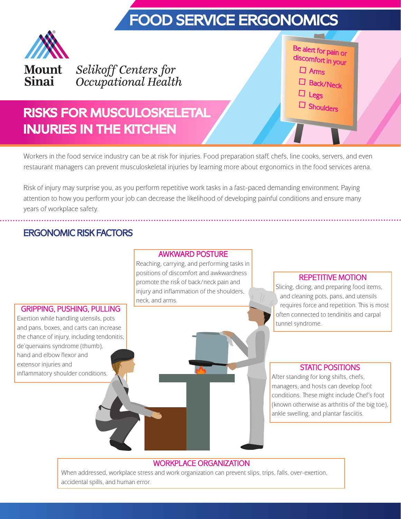# FOOD SERVICE ERGONOMICS



Sinai

Selikoff Centers for Occupational Health Be alert for pain or discomfort in your  $\square$  Arms D Back/Neck  $\square$  Legs Shoulders

# RISKS FOR MUSCULOSKELETAL INJURIES IN THE KITCHEN

Workers in the food service industry can be at risk for injuries. Food preparation staff, chefs, line cooks, servers, and even restaurant managers can prevent musculoskeletal injuries by learning more about ergonomics in the food services arena.

Risk of injury may surprise you, as you perform repetitive work tasks in a fast-paced demanding environment. Paying attention to how you perform your job can decrease the likelihood of developing painful conditions and ensure many years of workplace safety.

# ERGONOMIC RISK FACTORS

#### AWKWARD POSTURE

Reaching, carrying, and performing tasks in positions of discomfort and awkwardness promote the risk of back/neck pain and injury and inflammation of the shoulders, neck, and arms.

#### GRIPPING, PUSHING, PULLING

Exertion while handling utensils, pots and pans, boxes, and carts can increase the chance of injury, including tendonitis, de'quervains syndrome (thumb), hand and elbow flexor and extensor injuries and inflammatory shoulder conditions.

#### REPETITIVE MOTION

Slicing, dicing, and preparing food items, and cleaning pots, pans, and utensils requires force and repetition. This is most often connected to tendinitis and carpal tunnel syndrome.

#### STATIC POSITIONS

After standing for long shifts, chefs, managers, and hosts can develop foot conditions. These might include Chef's foot (known otherwise as arthritis of the big toe), ankle swelling, and plantar fasciitis.

#### WORKPLACE ORGANIZATION

When addressed, workplace stress and work organization can prevent slips, trips, falls, over-exertion, accidental spills, and human error.